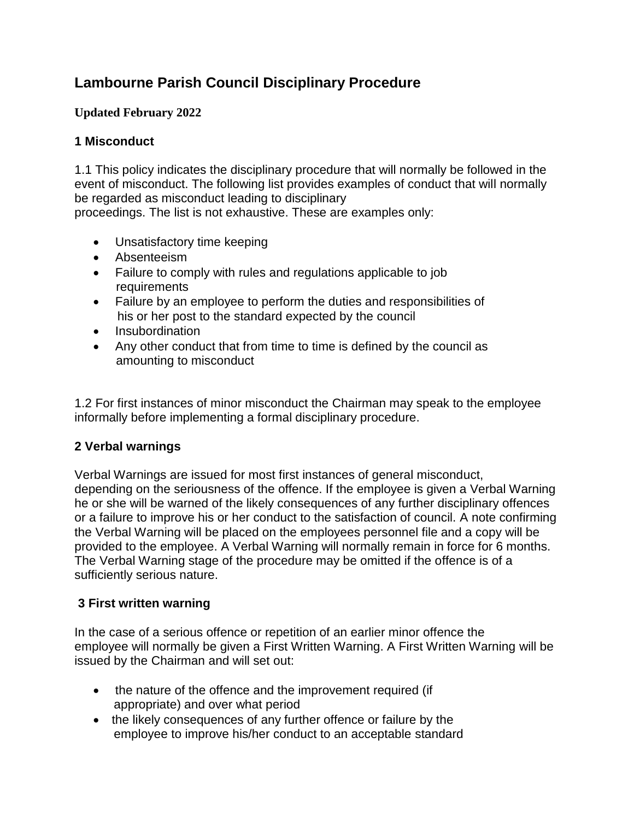# **Lambourne Parish Council Disciplinary Procedure**

### **Updated February 2022**

### **1 Misconduct**

1.1 This policy indicates the disciplinary procedure that will normally be followed in the event of misconduct. The following list provides examples of conduct that will normally be regarded as misconduct leading to disciplinary

proceedings. The list is not exhaustive. These are examples only:

- Unsatisfactory time keeping
- Absenteeism
- Failure to comply with rules and regulations applicable to job requirements
- Failure by an employee to perform the duties and responsibilities of his or her post to the standard expected by the council
- Insubordination
- Any other conduct that from time to time is defined by the council as amounting to misconduct

1.2 For first instances of minor misconduct the Chairman may speak to the employee informally before implementing a formal disciplinary procedure.

## **2 Verbal warnings**

Verbal Warnings are issued for most first instances of general misconduct, depending on the seriousness of the offence. If the employee is given a Verbal Warning he or she will be warned of the likely consequences of any further disciplinary offences or a failure to improve his or her conduct to the satisfaction of council. A note confirming the Verbal Warning will be placed on the employees personnel file and a copy will be provided to the employee. A Verbal Warning will normally remain in force for 6 months. The Verbal Warning stage of the procedure may be omitted if the offence is of a sufficiently serious nature.

## **3 First written warning**

In the case of a serious offence or repetition of an earlier minor offence the employee will normally be given a First Written Warning. A First Written Warning will be issued by the Chairman and will set out:

- the nature of the offence and the improvement required (if appropriate) and over what period
- the likely consequences of any further offence or failure by the employee to improve his/her conduct to an acceptable standard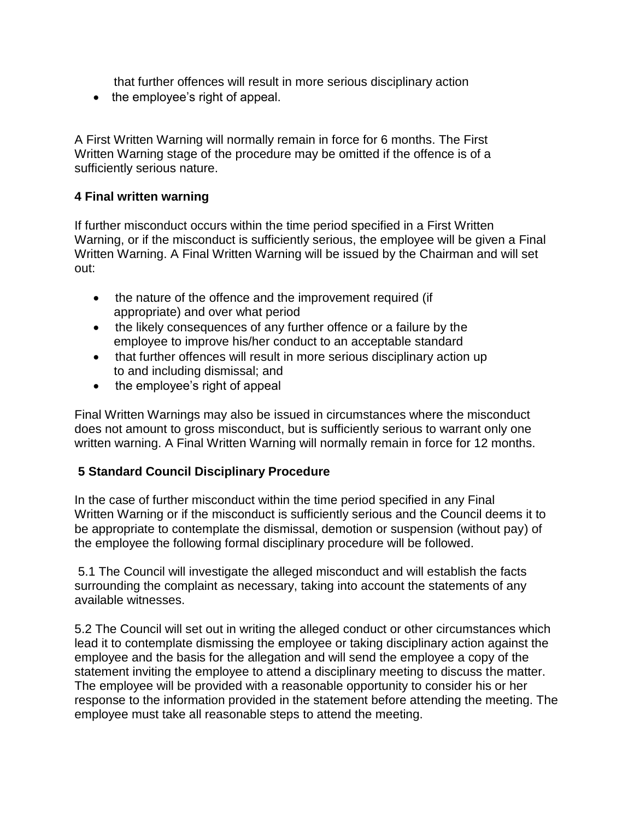that further offences will result in more serious disciplinary action

• the employee's right of appeal.

A First Written Warning will normally remain in force for 6 months. The First Written Warning stage of the procedure may be omitted if the offence is of a sufficiently serious nature.

#### **4 Final written warning**

If further misconduct occurs within the time period specified in a First Written Warning, or if the misconduct is sufficiently serious, the employee will be given a Final Written Warning. A Final Written Warning will be issued by the Chairman and will set out:

- the nature of the offence and the improvement required (if appropriate) and over what period
- the likely consequences of any further offence or a failure by the employee to improve his/her conduct to an acceptable standard
- that further offences will result in more serious disciplinary action up to and including dismissal; and
- the employee's right of appeal

Final Written Warnings may also be issued in circumstances where the misconduct does not amount to gross misconduct, but is sufficiently serious to warrant only one written warning. A Final Written Warning will normally remain in force for 12 months.

### **5 Standard Council Disciplinary Procedure**

In the case of further misconduct within the time period specified in any Final Written Warning or if the misconduct is sufficiently serious and the Council deems it to be appropriate to contemplate the dismissal, demotion or suspension (without pay) of the employee the following formal disciplinary procedure will be followed.

5.1 The Council will investigate the alleged misconduct and will establish the facts surrounding the complaint as necessary, taking into account the statements of any available witnesses.

5.2 The Council will set out in writing the alleged conduct or other circumstances which lead it to contemplate dismissing the employee or taking disciplinary action against the employee and the basis for the allegation and will send the employee a copy of the statement inviting the employee to attend a disciplinary meeting to discuss the matter. The employee will be provided with a reasonable opportunity to consider his or her response to the information provided in the statement before attending the meeting. The employee must take all reasonable steps to attend the meeting.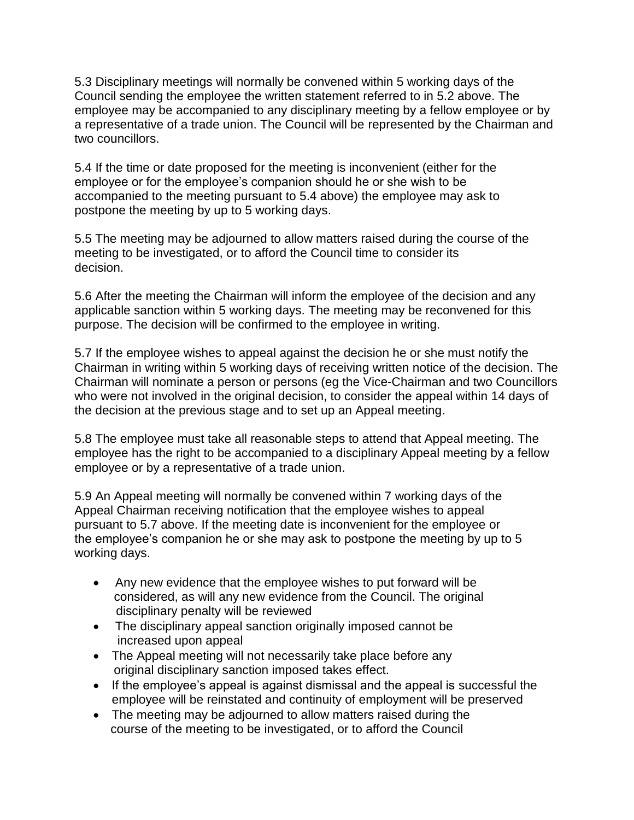5.3 Disciplinary meetings will normally be convened within 5 working days of the Council sending the employee the written statement referred to in 5.2 above. The employee may be accompanied to any disciplinary meeting by a fellow employee or by a representative of a trade union. The Council will be represented by the Chairman and two councillors.

5.4 If the time or date proposed for the meeting is inconvenient (either for the employee or for the employee's companion should he or she wish to be accompanied to the meeting pursuant to 5.4 above) the employee may ask to postpone the meeting by up to 5 working days.

5.5 The meeting may be adjourned to allow matters raised during the course of the meeting to be investigated, or to afford the Council time to consider its decision.

5.6 After the meeting the Chairman will inform the employee of the decision and any applicable sanction within 5 working days. The meeting may be reconvened for this purpose. The decision will be confirmed to the employee in writing.

5.7 If the employee wishes to appeal against the decision he or she must notify the Chairman in writing within 5 working days of receiving written notice of the decision. The Chairman will nominate a person or persons (eg the Vice-Chairman and two Councillors who were not involved in the original decision, to consider the appeal within 14 days of the decision at the previous stage and to set up an Appeal meeting.

5.8 The employee must take all reasonable steps to attend that Appeal meeting. The employee has the right to be accompanied to a disciplinary Appeal meeting by a fellow employee or by a representative of a trade union.

5.9 An Appeal meeting will normally be convened within 7 working days of the Appeal Chairman receiving notification that the employee wishes to appeal pursuant to 5.7 above. If the meeting date is inconvenient for the employee or the employee's companion he or she may ask to postpone the meeting by up to 5 working days.

- Any new evidence that the employee wishes to put forward will be considered, as will any new evidence from the Council. The original disciplinary penalty will be reviewed
- The disciplinary appeal sanction originally imposed cannot be increased upon appeal
- The Appeal meeting will not necessarily take place before any original disciplinary sanction imposed takes effect.
- If the employee's appeal is against dismissal and the appeal is successful the employee will be reinstated and continuity of employment will be preserved
- The meeting may be adjourned to allow matters raised during the course of the meeting to be investigated, or to afford the Council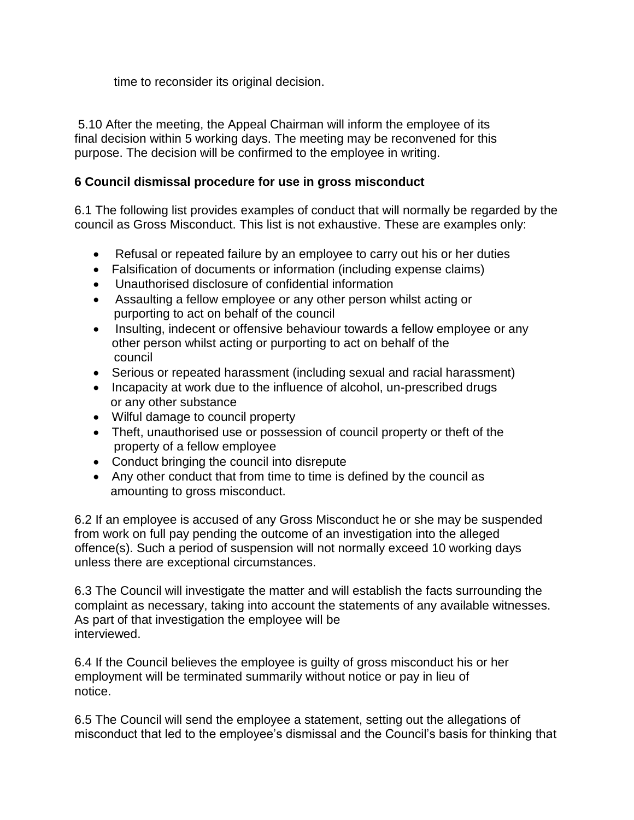time to reconsider its original decision.

5.10 After the meeting, the Appeal Chairman will inform the employee of its final decision within 5 working days. The meeting may be reconvened for this purpose. The decision will be confirmed to the employee in writing.

### **6 Council dismissal procedure for use in gross misconduct**

6.1 The following list provides examples of conduct that will normally be regarded by the council as Gross Misconduct. This list is not exhaustive. These are examples only:

- Refusal or repeated failure by an employee to carry out his or her duties
- Falsification of documents or information (including expense claims)
- Unauthorised disclosure of confidential information
- Assaulting a fellow employee or any other person whilst acting or purporting to act on behalf of the council
- Insulting, indecent or offensive behaviour towards a fellow employee or any other person whilst acting or purporting to act on behalf of the council
- Serious or repeated harassment (including sexual and racial harassment)
- Incapacity at work due to the influence of alcohol, un-prescribed drugs or any other substance
- Wilful damage to council property
- Theft, unauthorised use or possession of council property or theft of the property of a fellow employee
- Conduct bringing the council into disrepute
- Any other conduct that from time to time is defined by the council as amounting to gross misconduct.

6.2 If an employee is accused of any Gross Misconduct he or she may be suspended from work on full pay pending the outcome of an investigation into the alleged offence(s). Such a period of suspension will not normally exceed 10 working days unless there are exceptional circumstances.

6.3 The Council will investigate the matter and will establish the facts surrounding the complaint as necessary, taking into account the statements of any available witnesses. As part of that investigation the employee will be interviewed.

6.4 If the Council believes the employee is guilty of gross misconduct his or her employment will be terminated summarily without notice or pay in lieu of notice.

6.5 The Council will send the employee a statement, setting out the allegations of misconduct that led to the employee's dismissal and the Council's basis for thinking that